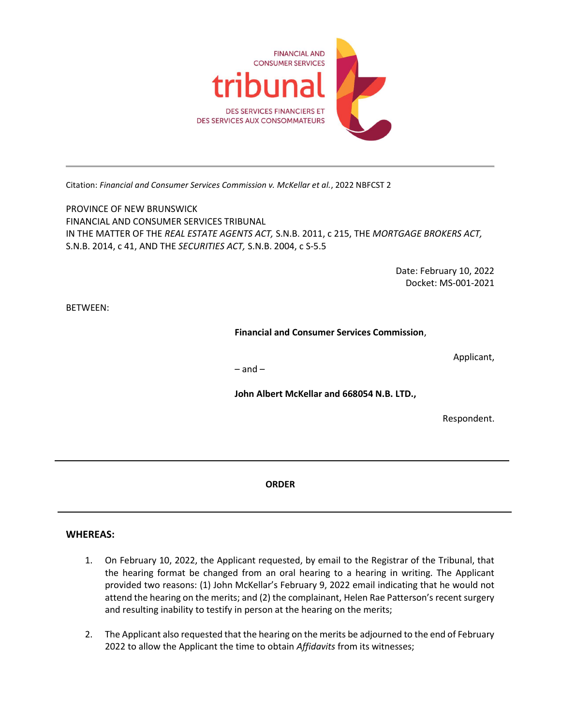

Citation: Financial and Consumer Services Commission v. McKellar et al., 2022 NBFCST 2

PROVINCE OF NEW BRUNSWICK FINANCIAL AND CONSUMER SERVICES TRIBUNAL IN THE MATTER OF THE REAL ESTATE AGENTS ACT, S.N.B. 2011, c 215, THE MORTGAGE BROKERS ACT, S.N.B. 2014, c 41, AND THE SECURITIES ACT, S.N.B. 2004, c S-5.5

> Date: February 10, 2022 Docket: MS-001-2021

BETWEEN:

Financial and Consumer Services Commission,

Applicant,

– and –

John Albert McKellar and 668054 N.B. LTD.,

Respondent.

ORDER

## WHEREAS:

l

- 1. On February 10, 2022, the Applicant requested, by email to the Registrar of the Tribunal, that the hearing format be changed from an oral hearing to a hearing in writing. The Applicant provided two reasons: (1) John McKellar's February 9, 2022 email indicating that he would not attend the hearing on the merits; and (2) the complainant, Helen Rae Patterson's recent surgery and resulting inability to testify in person at the hearing on the merits;
- 2. The Applicant also requested that the hearing on the merits be adjourned to the end of February 2022 to allow the Applicant the time to obtain Affidavits from its witnesses;